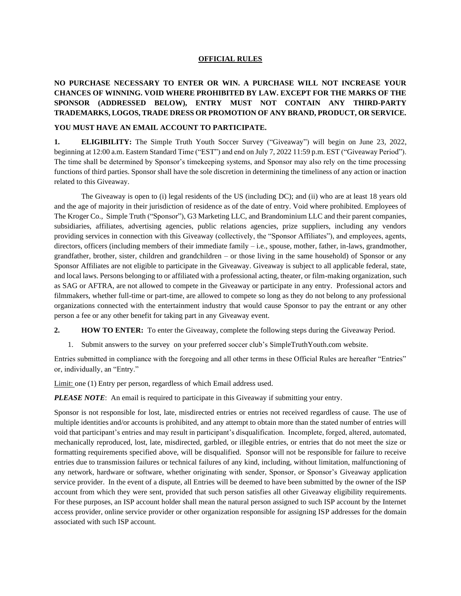## **OFFICIAL RULES**

## **NO PURCHASE NECESSARY TO ENTER OR WIN. A PURCHASE WILL NOT INCREASE YOUR CHANCES OF WINNING. VOID WHERE PROHIBITED BY LAW. EXCEPT FOR THE MARKS OF THE SPONSOR (ADDRESSED BELOW), ENTRY MUST NOT CONTAIN ANY THIRD-PARTY TRADEMARKS, LOGOS, TRADE DRESS OR PROMOTION OF ANY BRAND, PRODUCT, OR SERVICE.**

## **YOU MUST HAVE AN EMAIL ACCOUNT TO PARTICIPATE.**

**1. ELIGIBILITY:** The Simple Truth Youth Soccer Survey ("Giveaway") will begin on June 23, 2022, beginning at 12:00 a.m. Eastern Standard Time ("EST") and end on July 7, 2022 11:59 p.m. EST ("Giveaway Period"). The time shall be determined by Sponsor's timekeeping systems, and Sponsor may also rely on the time processing functions of third parties. Sponsor shall have the sole discretion in determining the timeliness of any action or inaction related to this Giveaway.

The Giveaway is open to (i) legal residents of the US (including DC); and (ii) who are at least 18 years old and the age of majority in their jurisdiction of residence as of the date of entry. Void where prohibited. Employees of The Kroger Co., Simple Truth ("Sponsor"), G3 Marketing LLC, and Brandominium LLC and their parent companies, subsidiaries, affiliates, advertising agencies, public relations agencies, prize suppliers, including any vendors providing services in connection with this Giveaway (collectively, the "Sponsor Affiliates"), and employees, agents, directors, officers (including members of their immediate family – i.e., spouse, mother, father, in-laws, grandmother, grandfather, brother, sister, children and grandchildren – or those living in the same household) of Sponsor or any Sponsor Affiliates are not eligible to participate in the Giveaway. Giveaway is subject to all applicable federal, state, and local laws. Persons belonging to or affiliated with a professional acting, theater, or film-making organization, such as SAG or AFTRA, are not allowed to compete in the Giveaway or participate in any entry. Professional actors and filmmakers, whether full-time or part-time, are allowed to compete so long as they do not belong to any professional organizations connected with the entertainment industry that would cause Sponsor to pay the entrant or any other person a fee or any other benefit for taking part in any Giveaway event.

**2. HOW TO ENTER:** To enter the Giveaway, complete the following steps during the Giveaway Period.

1. Submit answers to the survey on your preferred soccer club's SimpleTruthYouth.com website.

Entries submitted in compliance with the foregoing and all other terms in these Official Rules are hereafter "Entries" or, individually, an "Entry."

Limit: one (1) Entry per person, regardless of which Email address used.

*PLEASE NOTE*: An email is required to participate in this Giveaway if submitting your entry.

Sponsor is not responsible for lost, late, misdirected entries or entries not received regardless of cause. The use of multiple identities and/or accounts is prohibited, and any attempt to obtain more than the stated number of entries will void that participant's entries and may result in participant's disqualification. Incomplete, forged, altered, automated, mechanically reproduced, lost, late, misdirected, garbled, or illegible entries, or entries that do not meet the size or formatting requirements specified above, will be disqualified. Sponsor will not be responsible for failure to receive entries due to transmission failures or technical failures of any kind, including, without limitation, malfunctioning of any network, hardware or software, whether originating with sender, Sponsor, or Sponsor's Giveaway application service provider. In the event of a dispute, all Entries will be deemed to have been submitted by the owner of the ISP account from which they were sent, provided that such person satisfies all other Giveaway eligibility requirements. For these purposes, an ISP account holder shall mean the natural person assigned to such ISP account by the Internet access provider, online service provider or other organization responsible for assigning ISP addresses for the domain associated with such ISP account.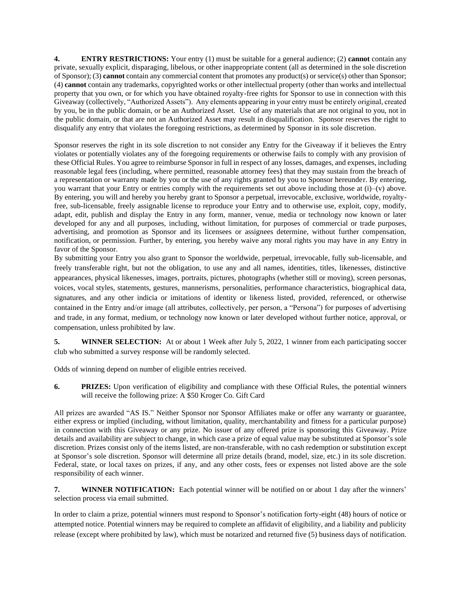**4. ENTRY RESTRICTIONS:** Your entry (1) must be suitable for a general audience; (2) **cannot** contain any private, sexually explicit, disparaging, libelous, or other inappropriate content (all as determined in the sole discretion of Sponsor); (3) **cannot** contain any commercial content that promotes any product(s) or service(s) other than Sponsor; (4) **cannot** contain any trademarks, copyrighted works or other intellectual property (other than works and intellectual property that you own, or for which you have obtained royalty-free rights for Sponsor to use in connection with this Giveaway (collectively, "Authorized Assets"). Any elements appearing in your entry must be entirely original, created by you, be in the public domain, or be an Authorized Asset. Use of any materials that are not original to you, not in the public domain, or that are not an Authorized Asset may result in disqualification. Sponsor reserves the right to disqualify any entry that violates the foregoing restrictions, as determined by Sponsor in its sole discretion.

Sponsor reserves the right in its sole discretion to not consider any Entry for the Giveaway if it believes the Entry violates or potentially violates any of the foregoing requirements or otherwise fails to comply with any provision of these Official Rules. You agree to reimburse Sponsor in full in respect of any losses, damages, and expenses, including reasonable legal fees (including, where permitted, reasonable attorney fees) that they may sustain from the breach of a representation or warranty made by you or the use of any rights granted by you to Sponsor hereunder. By entering, you warrant that your Entry or entries comply with the requirements set out above including those at  $(i)$ – $(v)$  above. By entering, you will and hereby you hereby grant to Sponsor a perpetual, irrevocable, exclusive, worldwide, royaltyfree, sub-licensable, freely assignable license to reproduce your Entry and to otherwise use, exploit, copy, modify, adapt, edit, publish and display the Entry in any form, manner, venue, media or technology now known or later developed for any and all purposes, including, without limitation, for purposes of commercial or trade purposes, advertising, and promotion as Sponsor and its licensees or assignees determine, without further compensation, notification, or permission. Further, by entering, you hereby waive any moral rights you may have in any Entry in favor of the Sponsor.

By submitting your Entry you also grant to Sponsor the worldwide, perpetual, irrevocable, fully sub-licensable, and freely transferable right, but not the obligation, to use any and all names, identities, titles, likenesses, distinctive appearances, physical likenesses, images, portraits, pictures, photographs (whether still or moving), screen personas, voices, vocal styles, statements, gestures, mannerisms, personalities, performance characteristics, biographical data, signatures, and any other indicia or imitations of identity or likeness listed, provided, referenced, or otherwise contained in the Entry and/or image (all attributes, collectively, per person, a "Persona") for purposes of advertising and trade, in any format, medium, or technology now known or later developed without further notice, approval, or compensation, unless prohibited by law.

**5. WINNER SELECTION:** At or about 1 Week after July 5, 2022, 1 winner from each participating soccer club who submitted a survey response will be randomly selected.

Odds of winning depend on number of eligible entries received.

**6. PRIZES:** Upon verification of eligibility and compliance with these Official Rules, the potential winners will receive the following prize: A \$50 Kroger Co. Gift Card

All prizes are awarded "AS IS." Neither Sponsor nor Sponsor Affiliates make or offer any warranty or guarantee, either express or implied (including, without limitation, quality, merchantability and fitness for a particular purpose) in connection with this Giveaway or any prize. No issuer of any offered prize is sponsoring this Giveaway. Prize details and availability are subject to change, in which case a prize of equal value may be substituted at Sponsor's sole discretion. Prizes consist only of the items listed, are non-transferable, with no cash redemption or substitution except at Sponsor's sole discretion. Sponsor will determine all prize details (brand, model, size, etc.) in its sole discretion. Federal, state, or local taxes on prizes, if any, and any other costs, fees or expenses not listed above are the sole responsibility of each winner.

**7. WINNER NOTIFICATION:** Each potential winner will be notified on or about 1 day after the winners' selection process via email submitted.

In order to claim a prize, potential winners must respond to Sponsor's notification forty-eight (48) hours of notice or attempted notice. Potential winners may be required to complete an affidavit of eligibility, and a liability and publicity release (except where prohibited by law), which must be notarized and returned five (5) business days of notification.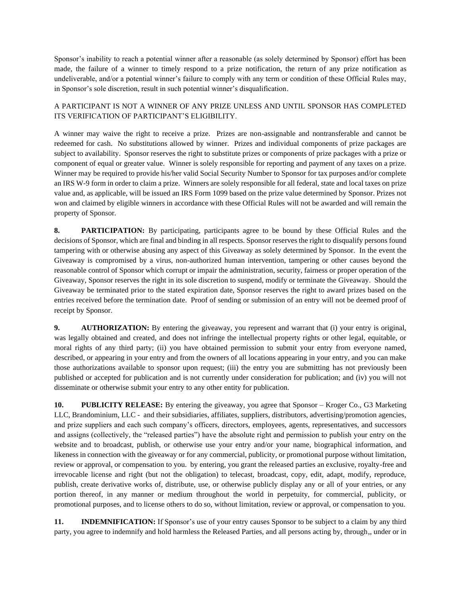Sponsor's inability to reach a potential winner after a reasonable (as solely determined by Sponsor) effort has been made, the failure of a winner to timely respond to a prize notification, the return of any prize notification as undeliverable, and/or a potential winner's failure to comply with any term or condition of these Official Rules may, in Sponsor's sole discretion, result in such potential winner's disqualification.

## A PARTICIPANT IS NOT A WINNER OF ANY PRIZE UNLESS AND UNTIL SPONSOR HAS COMPLETED ITS VERIFICATION OF PARTICIPANT'S ELIGIBILITY.

A winner may waive the right to receive a prize. Prizes are non-assignable and nontransferable and cannot be redeemed for cash. No substitutions allowed by winner. Prizes and individual components of prize packages are subject to availability. Sponsor reserves the right to substitute prizes or components of prize packages with a prize or component of equal or greater value. Winner is solely responsible for reporting and payment of any taxes on a prize. Winner may be required to provide his/her valid Social Security Number to Sponsor for tax purposes and/or complete an IRS W-9 form in order to claim a prize. Winners are solely responsible for all federal, state and local taxes on prize value and, as applicable, will be issued an IRS Form 1099 based on the prize value determined by Sponsor. Prizes not won and claimed by eligible winners in accordance with these Official Rules will not be awarded and will remain the property of Sponsor.

**8. PARTICIPATION:** By participating, participants agree to be bound by these Official Rules and the decisions of Sponsor, which are final and binding in all respects. Sponsor reserves the right to disqualify persons found tampering with or otherwise abusing any aspect of this Giveaway as solely determined by Sponsor. In the event the Giveaway is compromised by a virus, non-authorized human intervention, tampering or other causes beyond the reasonable control of Sponsor which corrupt or impair the administration, security, fairness or proper operation of the Giveaway, Sponsor reserves the right in its sole discretion to suspend, modify or terminate the Giveaway. Should the Giveaway be terminated prior to the stated expiration date, Sponsor reserves the right to award prizes based on the entries received before the termination date. Proof of sending or submission of an entry will not be deemed proof of receipt by Sponsor.

**9. AUTHORIZATION:** By entering the giveaway, you represent and warrant that (i) your entry is original, was legally obtained and created, and does not infringe the intellectual property rights or other legal, equitable, or moral rights of any third party; (ii) you have obtained permission to submit your entry from everyone named, described, or appearing in your entry and from the owners of all locations appearing in your entry, and you can make those authorizations available to sponsor upon request; (iii) the entry you are submitting has not previously been published or accepted for publication and is not currently under consideration for publication; and (iv) you will not disseminate or otherwise submit your entry to any other entity for publication.

**10. PUBLICITY RELEASE:** By entering the giveaway, you agree that Sponsor – Kroger Co., G3 Marketing LLC, Brandominium, LLC - and their subsidiaries, affiliates, suppliers, distributors, advertising/promotion agencies, and prize suppliers and each such company's officers, directors, employees, agents, representatives, and successors and assigns (collectively, the "released parties") have the absolute right and permission to publish your entry on the website and to broadcast, publish, or otherwise use your entry and/or your name, biographical information, and likeness in connection with the giveaway or for any commercial, publicity, or promotional purpose without limitation, review or approval, or compensation to you. by entering, you grant the released parties an exclusive, royalty-free and irrevocable license and right (but not the obligation) to telecast, broadcast, copy, edit, adapt, modify, reproduce, publish, create derivative works of, distribute, use, or otherwise publicly display any or all of your entries, or any portion thereof, in any manner or medium throughout the world in perpetuity, for commercial, publicity, or promotional purposes, and to license others to do so, without limitation, review or approval, or compensation to you.

**11. INDEMNIFICATION:** If Sponsor's use of your entry causes Sponsor to be subject to a claim by any third party, you agree to indemnify and hold harmless the Released Parties, and all persons acting by, through,, under or in